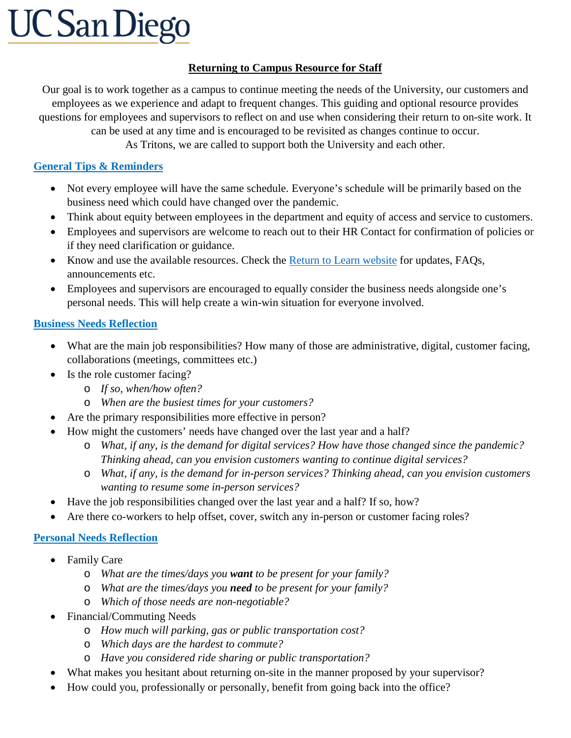# **UC San Diego**

#### **Returning to Campus Resource for Staff**

Our goal is to work together as a campus to continue meeting the needs of the University, our customers and employees as we experience and adapt to frequent changes. This guiding and optional resource provides questions for employees and supervisors to reflect on and use when considering their return to on-site work. It can be used at any time and is encouraged to be revisited as changes continue to occur. As Tritons, we are called to support both the University and each other.

## **General Tips & Reminders**

- Not every employee will have the same schedule. Everyone's schedule will be primarily based on the business need which could have changed over the pandemic.
- Think about equity between employees in the department and equity of access and service to customers.
- Employees and supervisors are welcome to reach out to their HR Contact for confirmation of policies or if they need clarification or guidance.
- Know and use the available resources. Check the **Return to Learn website** for updates, FAQs, announcements etc.
- Employees and supervisors are encouraged to equally consider the business needs alongside one's personal needs. This will help create a win-win situation for everyone involved.

### **Business Needs Reflection**

- What are the main job responsibilities? How many of those are administrative, digital, customer facing, collaborations (meetings, committees etc.)
- Is the role customer facing?
	- o *If so, when/how often?*
	- o *When are the busiest times for your customers?*
- Are the primary responsibilities more effective in person?
- How might the customers' needs have changed over the last year and a half?
	- o *What, if any, is the demand for digital services? How have those changed since the pandemic? Thinking ahead, can you envision customers wanting to continue digital services?*
	- o *What, if any, is the demand for in-person services? Thinking ahead, can you envision customers wanting to resume some in-person services?*
- Have the job responsibilities changed over the last year and a half? If so, how?
- Are there co-workers to help offset, cover, switch any in-person or customer facing roles?

## **Personal Needs Reflection**

- Family Care
	- o *What are the times/days you want to be present for your family?*
	- o *What are the times/days you need to be present for your family?*
	- o *Which of those needs are non-negotiable?*
- Financial/Commuting Needs
	- o *How much will parking, gas or public transportation cost?*
	- o *Which days are the hardest to commute?*
	- o *Have you considered ride sharing or public transportation?*
- What makes you hesitant about returning on-site in the manner proposed by your supervisor?
- How could you, professionally or personally, benefit from going back into the office?